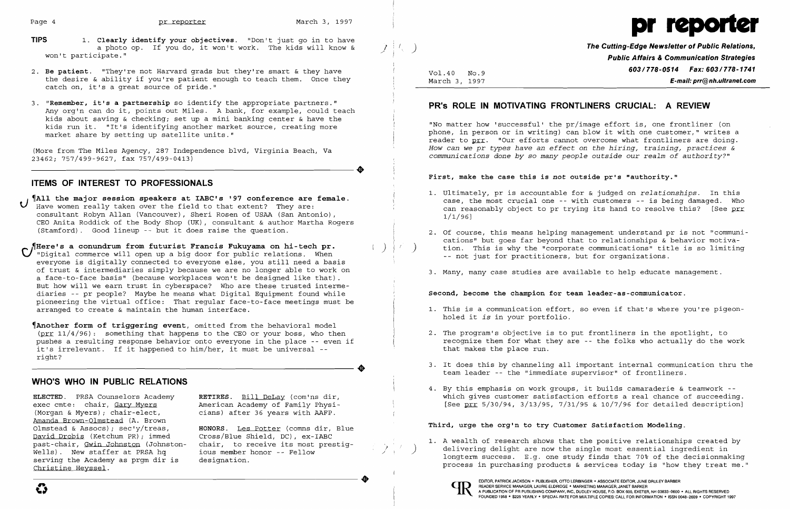- **TIPS 1. Clearly identify your objectives.** "Don't just go in to have a photo op. If you do, it won't work. The kids will know & j ) **The Cutting-Edge Newsletter of Public Relations,**<br>won't participate." **Public Relations, and the set of a set of a** set of **Public Relations**, **Public Affilia**
- 2. Be patient. "They're not Harvard grads but they're smart & they have **603/778-0514 Fax: 603/778-0514 Fax: 603/778-1741** the desire & ability if you're patient enough to teach them. Once they catch on, it's a great source of pride."
- 3. "Remember, it's a partnership so identify the appropriate partners." **PR's ROLE IN MOTIVATING FRONTLINERS CRUCIAL: A REVIEW**<br>Any org'n can do it, points out Miles. A bank, for example, could teach kids about saving & checking; set up a mini banking center & have the<br>kids run it. "It's identifying another market source, creating more which we would be the monodurity of the matter with the property and the state of the state of the state of the state of the property of the property of the property of the property of the property of the property of the p



**Public Affairs & Communication Strategies** March 3, 1997 **E-mail: prr@nh.ultranet.com** 

2. Of course, this means helping management understand pr is not "communications" but goes far beyond that to relationships & behavior motiva-<br>tion. This is why the "corporate communications" title is so limiting

----------------------. **First, make the case this is** *not* **outside pr's "authority."**

# **ITEMS OF INTEREST TO PROFESSIONALS**

All the major session speakers at IABC's '97 conference are female.<br>Hall the major session speakers at IABC's '97 conference are female.<br>Have women really taken over the field to that extent? They are: ean reasonably objec consultant Robyn Allan (Vancouver) , Sheri Rosen of USAA (San Antonio) , CEO Anita Roddick of the Body Shop (UK), consultant & author Martha Rogers<br>(Stamford). Good lineup -- but it does raise the question.

There's a conundrum from futurist Francis Fukuyama on hi-tech pr.<br>
"Digital commerce will open up a big door for public relations. When the motion of the "corporate communications" tit everyone is digitally connected to everyone else, you still need a basis of trust & intermediaries simply because we are no longer able to work on a face-to-face basis" (because workplaces won't be designed like that) . But how will we earn trust in cyberspace? Who are these trusted interme diaries -- pr people? Maybe he means what Digital Equipment found while **Second, become the champion for team leader-as-communicator.** pioneering the virtual office: That regular face-to-face meetings must be arranged to create & maintain the human interface. proneering the virtual office. That regular race-to-race meetings must be the state of the state of the state of the state of the state of the state of the state of the state of the pigeon-<br>I. This is a communication effor

~Another **form of triggering event,** omitted from the behavioral model (<u>prr</u> 11/4/96): something that happens to the CEO or your boss, who then  $\vert$  2. The program's objective is to put frontliners in the spotlight, to pushes a resulting response behavior onto everyone in the place -- even pushes a resulting response behavior onto everyone in the place -- even if the folks what them for what the for<br>it's irrelevant. If it happened to him/her, it must be universal -- the folks who actual makes the place run. it's irrelevant. If it happened to him/her, it must be universal  $-t$ right?

- holed it *is* in your portfolio.
- 
- team leader -- the "immediate supervisor" of frontliners.
- 4. By this emphasis on work groups, it builds camaraderie & teamwork **ELECTED.** PRSA Counselors Academy **RETIRES.** Bill DeLay (com'ns dir, which gives customer satisfaction efforts a real chance of succeeding.

Wells). New staffer at PRSA hquasimeters in the single most essential ingredient in a wells). New staffer at PRSA hquasime in the single most essential ingredient in New staffer at PRSA hquasime honor -- Fellow in the deci wells). New staffer at PRSA ng in the member nonor -- Fellow and the Mongterm success. E.g. one study finds that 70% of the decisionmaking<br>Serving the Academy as prgm dir is designation. delivering delight are now the single most essential in longterm success. E.g. one study finds that 70% of the process in purchasing products & services today is "how



3. It does this by channeling all important internal communication thru the

# **WHO'S WHO IN PUBLIC RELATIONS**

weils). New staller at PRSA ng<br>serving the Academy as prgm dir is designation.<br>Christine Heyssel. exec cmte: chair, <u>Gary Myers</u> American Academy of Family Physi- [See <u>prr</u> 5/30/94, 3/13/95, 7/31/95 & 10/7/96 for detailed description]<br>(Morqan & Myers); chair-elect, cians) after 36 y (Morgan & Myers); chair-elect, cians) after 36 years with AAFP.<br>Amanda Brown-Olmstead (A. Brown Amanda Brown-Olmstead (A. Brown **Third, urge the org'n to try Customer Satisfaction Modeling.** Olmstead & Assocs); sec'y/treas, **HONORS.** Les Potter (comns dir, Blue serving the Academy as prgm dir is designation.<br>Christine Heyssel. What we have today is "how they treat me." This end of the services in purchasing products & services today is "how they treat me."

past-chair, Gwin Johnston (Johnston-chair, to receive its most prestig-<br>Wells). New staffer at PRSA hquin ious member honor--Fellow (2000) delivering delight are now the single most essential ingredient in

phone, in person or in writing) can blow it with one customer," writes a reader to prr. "Our efforts cannot overcome what frontliners are doing. (More from The Miles Agency, 287 Independence blvd, Virginia Beach, Va *How can we pr types have an effect on the hiring, training, practices &*<br>23462; 757/499-9627, fax 757/499-0413) *communications d communications done by so many people outside our realm of authority?*"

- $1/1/96$ ]
- 
- 3. Many, many case studies are available to help educate management.